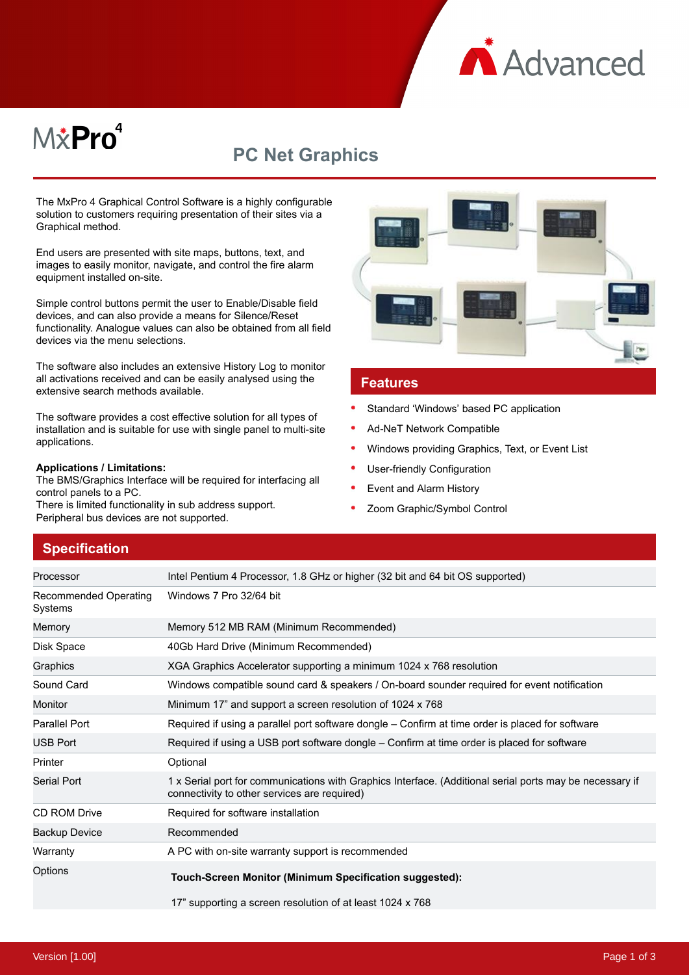

# M*\**Pro<sup>4</sup>

## **PC Net Graphics**

The MxPro 4 Graphical Control Software is a highly configurable solution to customers requiring presentation of their sites via a Graphical method.

End users are presented with site maps, buttons, text, and images to easily monitor, navigate, and control the fire alarm equipment installed on-site.

Simple control buttons permit the user to Enable/Disable field devices, and can also provide a means for Silence/Reset functionality. Analogue values can also be obtained from all field devices via the menu selections.

The software also includes an extensive History Log to monitor all activations received and can be easily analysed using the extensive search methods available.

The software provides a cost effective solution for all types of installation and is suitable for use with single panel to multi-site applications.

#### **Applications / Limitations:**

The BMS/Graphics Interface will be required for interfacing all control panels to a PC.

There is limited functionality in sub address support. Peripheral bus devices are not supported.



#### **Features**

- Standard 'Windows' based PC application
- Ad-NeT Network Compatible
- Windows providing Graphics, Text, or Event List
- User-friendly Configuration
- Event and Alarm History
- Zoom Graphic/Symbol Control

## **Specification**

| Processor                        | Intel Pentium 4 Processor, 1.8 GHz or higher (32 bit and 64 bit OS supported)                                                                            |
|----------------------------------|----------------------------------------------------------------------------------------------------------------------------------------------------------|
| Recommended Operating<br>Systems | Windows 7 Pro 32/64 bit                                                                                                                                  |
| Memory                           | Memory 512 MB RAM (Minimum Recommended)                                                                                                                  |
| Disk Space                       | 40Gb Hard Drive (Minimum Recommended)                                                                                                                    |
| Graphics                         | XGA Graphics Accelerator supporting a minimum 1024 x 768 resolution                                                                                      |
| Sound Card                       | Windows compatible sound card & speakers / On-board sounder required for event notification                                                              |
| Monitor                          | Minimum 17" and support a screen resolution of 1024 x 768                                                                                                |
| Parallel Port                    | Required if using a parallel port software dongle – Confirm at time order is placed for software                                                         |
| <b>USB Port</b>                  | Required if using a USB port software dongle – Confirm at time order is placed for software                                                              |
| Printer                          | Optional                                                                                                                                                 |
| <b>Serial Port</b>               | 1 x Serial port for communications with Graphics Interface. (Additional serial ports may be necessary if<br>connectivity to other services are required) |
| <b>CD ROM Drive</b>              | Required for software installation                                                                                                                       |
| <b>Backup Device</b>             | Recommended                                                                                                                                              |
| Warranty                         | A PC with on-site warranty support is recommended                                                                                                        |
| Options                          | Touch-Screen Monitor (Minimum Specification suggested):                                                                                                  |
|                                  | 17" supporting a screen resolution of at least 1024 x 768                                                                                                |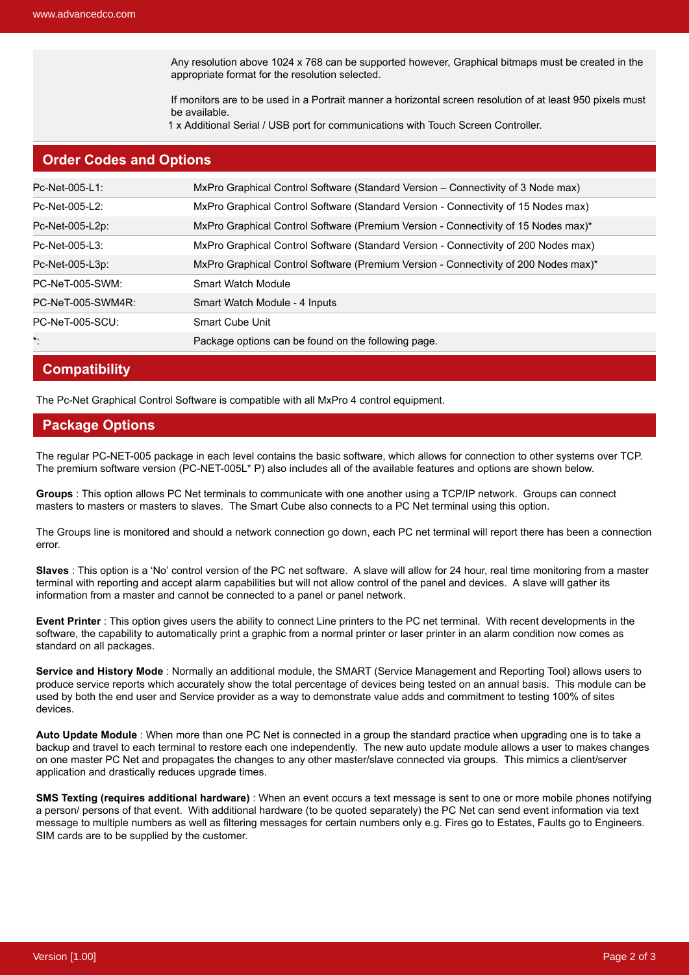Any resolution above 1024 x 768 can be supported however, Graphical bitmaps must be created in the appropriate format for the resolution selected.

If monitors are to be used in a Portrait manner a horizontal screen resolution of at least 950 pixels must be available.

1 x Additional Serial / USB port for communications with Touch Screen Controller.

## **Order Codes and Options**

| Pc-Net-005-L1:         | MxPro Graphical Control Software (Standard Version – Connectivity of 3 Node max)    |
|------------------------|-------------------------------------------------------------------------------------|
| Pc-Net-005-L2:         | MxPro Graphical Control Software (Standard Version - Connectivity of 15 Nodes max)  |
| Pc-Net-005-L2p:        | MxPro Graphical Control Software (Premium Version - Connectivity of 15 Nodes max)*  |
| Pc-Net-005-L3:         | MxPro Graphical Control Software (Standard Version - Connectivity of 200 Nodes max) |
| Pc-Net-005-L3p:        | MxPro Graphical Control Software (Premium Version - Connectivity of 200 Nodes max)* |
| PC-NeT-005-SWM:        | Smart Watch Module                                                                  |
| PC-NeT-005-SWM4R:      | Smart Watch Module - 4 Inputs                                                       |
| <b>PC-NeT-005-SCU:</b> | Smart Cube Unit                                                                     |
| *:                     | Package options can be found on the following page.                                 |

## **Compatibility**

The Pc-Net Graphical Control Software is compatible with all MxPro 4 control equipment.

### **Package Options**

The regular PC-NET-005 package in each level contains the basic software, which allows for connection to other systems over TCP. The premium software version (PC-NET-005L\* P) also includes all of the available features and options are shown below.

**Groups** : This option allows PC Net terminals to communicate with one another using a TCP/IP network. Groups can connect masters to masters or masters to slaves. The Smart Cube also connects to a PC Net terminal using this option.

The Groups line is monitored and should a network connection go down, each PC net terminal will report there has been a connection error.

**Slaves** : This option is a 'No' control version of the PC net software. A slave will allow for 24 hour, real time monitoring from a master terminal with reporting and accept alarm capabilities but will not allow control of the panel and devices. A slave will gather its information from a master and cannot be connected to a panel or panel network.

**Event Printer** : This option gives users the ability to connect Line printers to the PC net terminal. With recent developments in the software, the capability to automatically print a graphic from a normal printer or laser printer in an alarm condition now comes as standard on all packages.

**Service and History Mode** : Normally an additional module, the SMART (Service Management and Reporting Tool) allows users to produce service reports which accurately show the total percentage of devices being tested on an annual basis. This module can be used by both the end user and Service provider as a way to demonstrate value adds and commitment to testing 100% of sites devices.

**Auto Update Module** : When more than one PC Net is connected in a group the standard practice when upgrading one is to take a backup and travel to each terminal to restore each one independently. The new auto update module allows a user to makes changes on one master PC Net and propagates the changes to any other master/slave connected via groups. This mimics a client/server application and drastically reduces upgrade times.

**SMS Texting (requires additional hardware)** : When an event occurs a text message is sent to one or more mobile phones notifying a person/ persons of that event. With additional hardware (to be quoted separately) the PC Net can send event information via text message to multiple numbers as well as filtering messages for certain numbers only e.g. Fires go to Estates, Faults go to Engineers. SIM cards are to be supplied by the customer.